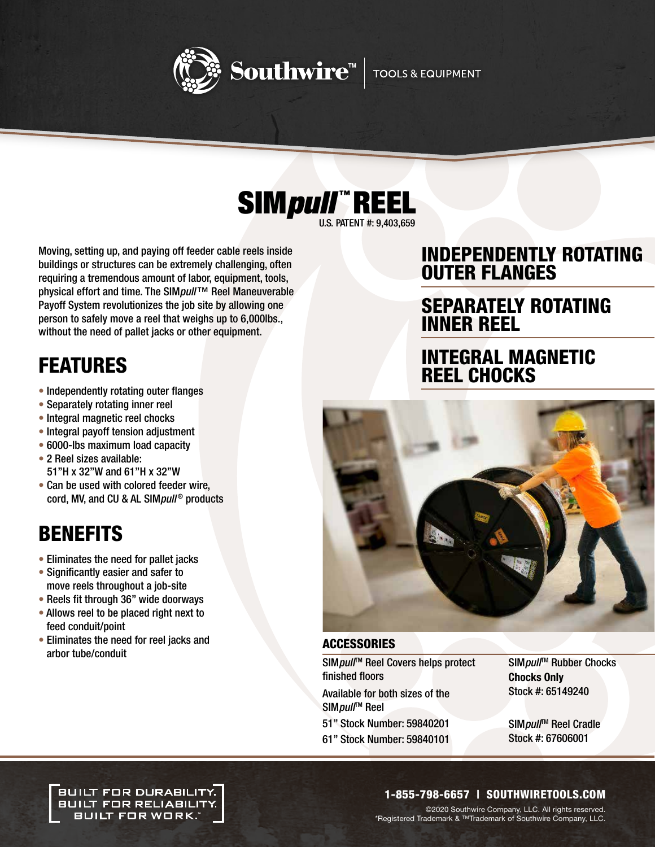



U.S. PATENT #: 9,403,659

Moving, setting up, and paying off feeder cable reels inside buildings or structures can be extremely challenging, often requiring a tremendous amount of labor, equipment, tools, physical effort and time. The SIMpull™ Reel Maneuverable Payoff System revolutionizes the job site by allowing one person to safely move a reel that weighs up to 6,000lbs., without the need of pallet jacks or other equipment.

# FEATURES

- Independently rotating outer flanges
- Separately rotating inner reel
- Integral magnetic reel chocks
- Integral payoff tension adjustment
- 6000-lbs maximum load capacity
- 2 Reel sizes available: 51"H x 32"W and 61"H x 32"W
- Can be used with colored feeder wire, cord, MV, and CU & AL SIM pull<sup>®</sup> products

# BENEFITS

- Eliminates the need for pallet jacks
- Significantly easier and safer to move reels throughout a job-site
- Reels fit through 36" wide doorways
- Allows reel to be placed right next to feed conduit/point
- Eliminates the need for reel jacks and arbor tube/conduit

## INDEPENDENTLY ROTATING OUTER FLANGES

## SEPARATELY ROTATING INNER REEL

## INTEGRAL MAGNETIC REEL CHOCKS



### **ACCESSORIES**

SIMpull<sup>™</sup> Reel Covers helps protect finished floors

Available for both sizes of the SIMpull<sup>™</sup> Reel

- 51" Stock Number: 59840201
- 61" Stock Number: 59840101

SIMpull<sup>™</sup> Rubber Chocks Chocks Only Stock #: 65149240

SIMpull<sup>™</sup> Reel Cradle Stock #: 67606001

.<br>BUILT FOR DURABILITY. **BUILT FOR RELIABILITY.** BUILT FOR WORK.

## 1-855-798-6657 | SOUTHWIRETOOLS.COM

©2020 Southwire Company, LLC. All rights reserved. \*Registered Trademark & ™Trademark of Southwire Company, LLC.